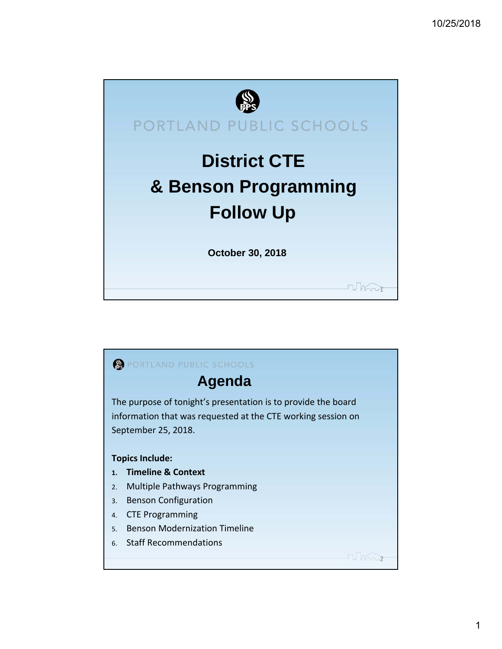

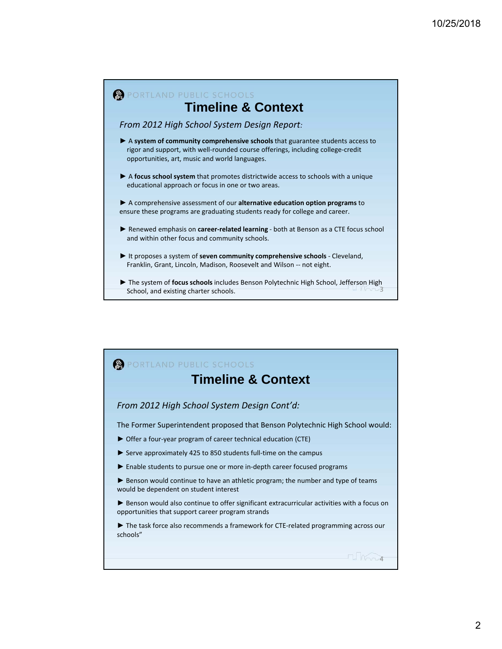

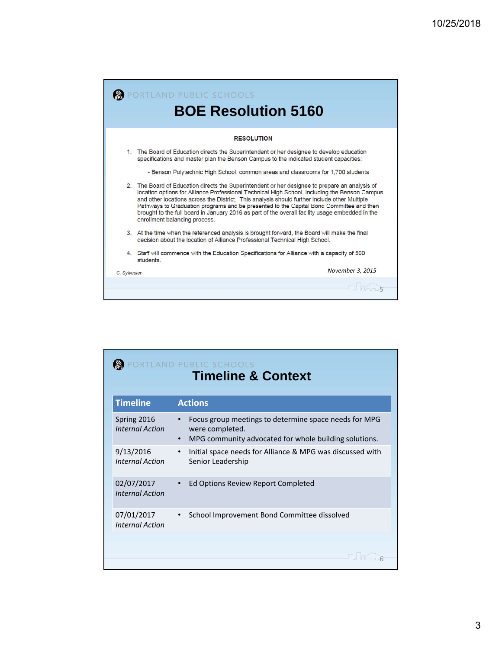|              | RTLAND PUBLIC SCHOOLS<br><b>BOE Resolution 5160</b>                                                                                                                                                                                                                                                                                                                                                                                                                                                                            |
|--------------|--------------------------------------------------------------------------------------------------------------------------------------------------------------------------------------------------------------------------------------------------------------------------------------------------------------------------------------------------------------------------------------------------------------------------------------------------------------------------------------------------------------------------------|
|              | <b>RESOLUTION</b>                                                                                                                                                                                                                                                                                                                                                                                                                                                                                                              |
| $1_{-}$      | The Board of Education directs the Superintendent or her designee to develop education<br>specifications and master plan the Benson Campus to the indicated student capacities:                                                                                                                                                                                                                                                                                                                                                |
|              | - Benson Polytechnic High School: common areas and classrooms for 1,700 students                                                                                                                                                                                                                                                                                                                                                                                                                                               |
|              | 2. The Board of Education directs the Superintendent or her designee to prepare an analysis of<br>location options for Alliance Professional Technical High School, including the Benson Campus<br>and other locations across the District. This analysis should further include other Multiple<br>Pathways to Graduation programs and be presented to the Capital Bond Committee and then<br>brought to the full board in January 2016 as part of the overall facility usage embedded in the<br>enrollment balancing process. |
|              | 3. At the time when the referenced analysis is brought forward, the Board will make the final<br>decision about the location of Alliance Professional Technical High School.                                                                                                                                                                                                                                                                                                                                                   |
|              | 4. Staff will commence with the Education Specifications for Alliance with a capacity of 500<br>students.                                                                                                                                                                                                                                                                                                                                                                                                                      |
| C. Sylvester | November 3, 2015                                                                                                                                                                                                                                                                                                                                                                                                                                                                                                               |
|              |                                                                                                                                                                                                                                                                                                                                                                                                                                                                                                                                |

| RTLAND PUBLIC SCHOOLS<br><b>Timeline &amp; Context</b> |                                                                                                                                                |  |  |  |  |  |  |  |
|--------------------------------------------------------|------------------------------------------------------------------------------------------------------------------------------------------------|--|--|--|--|--|--|--|
| <b>Timeline</b>                                        | <b>Actions</b>                                                                                                                                 |  |  |  |  |  |  |  |
| Spring 2016<br><b>Internal Action</b>                  | Focus group meetings to determine space needs for MPG<br>were completed.<br>MPG community advocated for whole building solutions.<br>$\bullet$ |  |  |  |  |  |  |  |
| 9/13/2016<br><b>Internal Action</b>                    | Initial space needs for Alliance & MPG was discussed with<br>Senior Leadership                                                                 |  |  |  |  |  |  |  |
| 02/07/2017<br><b>Internal Action</b>                   | Ed Options Review Report Completed                                                                                                             |  |  |  |  |  |  |  |
| 07/01/2017<br><b>Internal Action</b>                   | School Improvement Bond Committee dissolved                                                                                                    |  |  |  |  |  |  |  |
|                                                        |                                                                                                                                                |  |  |  |  |  |  |  |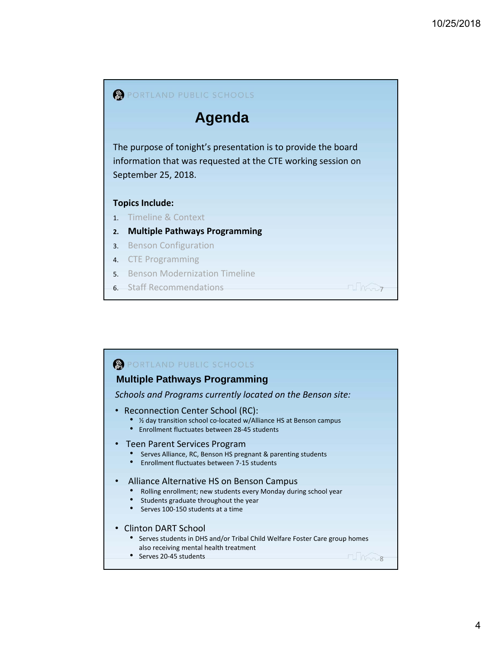

## PORTLAND PUBLIC SCHOOLS **Multiple Pathways Programming** *Schools and Programs currently located on the Benson site:* • Reconnection Center School (RC):<br>• ½ day transition school co-located w/Alliance HS at Benson campus • Enrollment fluctuates between 28‐45 students • Teen Parent Services Program<br>• Serves Alliance, RC, Benson HS pregnant & parenting students • Enrollment fluctuates between 7‐15 students Alliance Alternative HS on Benson Campus<br>• Rolling enrollment; new students every Monday during school year • Students graduate throughout the year • Serves 100-150 students at a time • Clinton DART School<br>• Serves students in DHS and/or Tribal Child Welfare Foster Care group homes also receiving mental health treatment • Serves 20-45 students  $\blacksquare$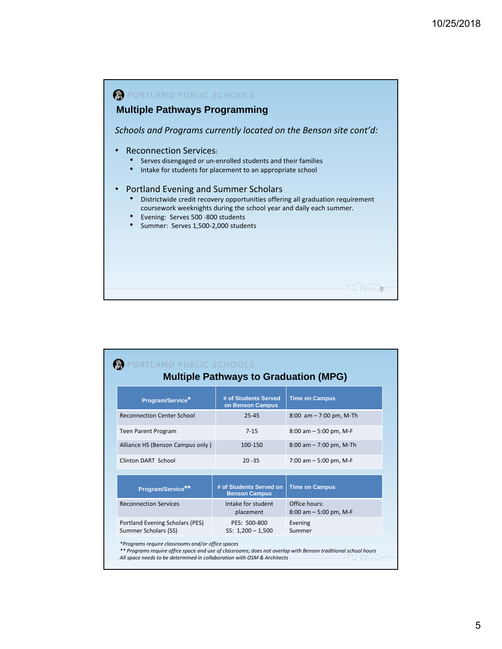

| <b>Multiple Pathways to Graduation (MPG)</b>            |                                                 |                                            |  |  |  |  |  |  |
|---------------------------------------------------------|-------------------------------------------------|--------------------------------------------|--|--|--|--|--|--|
| Program/Service*                                        | # of Students Served<br>on Benson Campus        | <b>Time on Campus</b>                      |  |  |  |  |  |  |
| <b>Reconnection Center School</b>                       | $25 - 45$                                       | 8:00 $am - 7:00$ pm, M-Th                  |  |  |  |  |  |  |
| <b>Teen Parent Program</b>                              | $7 - 15$                                        | $8:00$ am $-5:00$ pm, M-F                  |  |  |  |  |  |  |
| Alliance HS (Benson Campus only)                        | 100-150                                         | $8:00$ am $- 7:00$ pm, M-Th                |  |  |  |  |  |  |
| Clinton DART School                                     | $20 - 35$                                       | 7:00 am $-$ 5:00 pm, M-F                   |  |  |  |  |  |  |
| Program/Service                                         | # of Students Served on<br><b>Benson Campus</b> | <b>Time on Campus</b>                      |  |  |  |  |  |  |
| <b>Reconnection Services</b>                            | Intake for student<br>placement                 | Office hours:<br>$8:00$ am $-5:00$ pm, M-F |  |  |  |  |  |  |
| Portland Evening Scholars (PES)<br>Summer Scholars (SS) | PES: 500-800<br>SS: $1,200 - 1,500$             | Evening<br>Summer                          |  |  |  |  |  |  |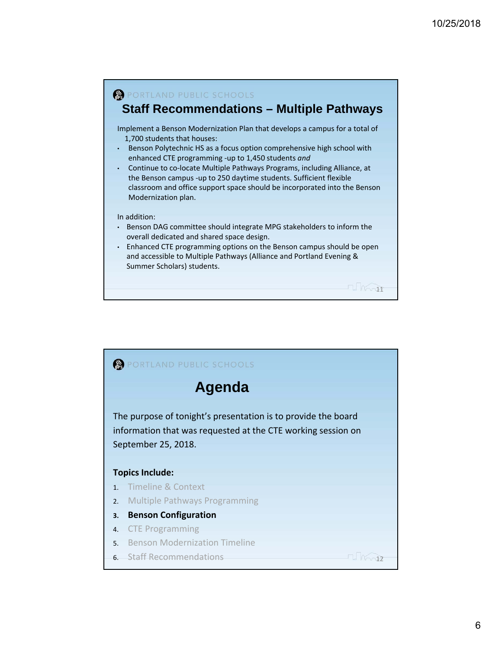

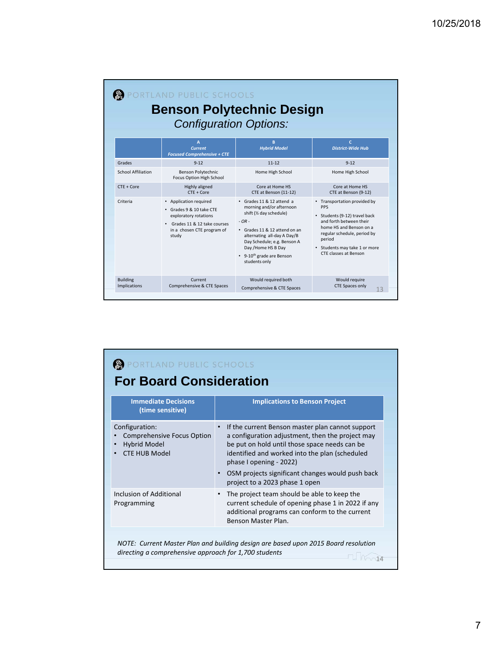| RTLAND PUBLIC SCHOOLS<br><b>Benson Polytechnic Design</b><br><b>Configuration Options:</b> |                                                                                                                                                                |                                                                                                                                                                                                                                                                              |                                                                                                                                                                                                                                      |  |  |  |  |  |
|--------------------------------------------------------------------------------------------|----------------------------------------------------------------------------------------------------------------------------------------------------------------|------------------------------------------------------------------------------------------------------------------------------------------------------------------------------------------------------------------------------------------------------------------------------|--------------------------------------------------------------------------------------------------------------------------------------------------------------------------------------------------------------------------------------|--|--|--|--|--|
|                                                                                            | A<br><b>Current</b><br><b>Focused Comprehensive + CTE</b>                                                                                                      | B<br><b>Hybrid Model</b>                                                                                                                                                                                                                                                     | $\mathbf{C}$<br><b>District-Wide Hub</b>                                                                                                                                                                                             |  |  |  |  |  |
| Grades                                                                                     | $9 - 12$                                                                                                                                                       | $11 - 12$                                                                                                                                                                                                                                                                    | $9 - 12$                                                                                                                                                                                                                             |  |  |  |  |  |
| School Affiliation                                                                         | <b>Benson Polytechnic</b><br>Focus Option High School                                                                                                          | Home High School                                                                                                                                                                                                                                                             | Home High School                                                                                                                                                                                                                     |  |  |  |  |  |
| $CTF + Core$                                                                               | Highly aligned<br>$CTF + Core$                                                                                                                                 | Core at Home HS<br>CTE at Benson (11-12)                                                                                                                                                                                                                                     | Core at Home HS<br>CTE at Benson (9-12)                                                                                                                                                                                              |  |  |  |  |  |
| Criteria                                                                                   | • Application required<br>· Grades 9 & 10 take CTF<br>exploratory rotations<br>Grades 11 & 12 take courses<br>$\bullet$<br>in a chosen CTE program of<br>study | • Grades 11 & 12 attend a<br>morning and/or afternoon<br>shift (1/2 day schedule)<br>$-OR -$<br>• Grades 11 & 12 attend on an<br>alternating all-day A Day/B<br>Day Schedule; e.g. Benson A<br>Day / Home HS B Day<br>• 9-10 <sup>th</sup> grade are Benson<br>students only | • Transportation provided by<br><b>PPS</b><br>• Students (9-12) travel back<br>and forth between their<br>home HS and Benson on a<br>regular schedule, period by<br>period<br>• Students may take 1 or more<br>CTF classes at Benson |  |  |  |  |  |
| <b>Building</b><br>Implications                                                            | Current<br>Comprehensive & CTE Spaces                                                                                                                          | Would required both<br>Comprehensive & CTE Spaces                                                                                                                                                                                                                            | Would require<br><b>CTE Spaces only</b><br>13                                                                                                                                                                                        |  |  |  |  |  |

| PORTLAND PUBLIC SCHOOLS<br><b>For Board Consideration</b>                                          |                                                                                                                                                                                                                                    |  |  |  |  |  |
|----------------------------------------------------------------------------------------------------|------------------------------------------------------------------------------------------------------------------------------------------------------------------------------------------------------------------------------------|--|--|--|--|--|
| <b>Immediate Decisions</b><br>(time sensitive)                                                     | <b>Implications to Benson Project</b>                                                                                                                                                                                              |  |  |  |  |  |
| Configuration:<br><b>Comprehensive Focus Option</b><br><b>Hybrid Model</b><br><b>CTE HUB Model</b> | If the current Benson master plan cannot support<br>a configuration adjustment, then the project may<br>be put on hold until those space needs can be<br>identified and worked into the plan (scheduled<br>phase I opening - 2022) |  |  |  |  |  |
|                                                                                                    | OSM projects significant changes would push back<br>project to a 2023 phase 1 open                                                                                                                                                 |  |  |  |  |  |
| Inclusion of Additional<br>Programming                                                             | The project team should be able to keep the<br>current schedule of opening phase 1 in 2022 if any<br>additional programs can conform to the current<br>Benson Master Plan.                                                         |  |  |  |  |  |
|                                                                                                    |                                                                                                                                                                                                                                    |  |  |  |  |  |
| directing a comprehensive approach for 1,700 students                                              | NOTE: Current Master Plan and building design are based upon 2015 Board resolution                                                                                                                                                 |  |  |  |  |  |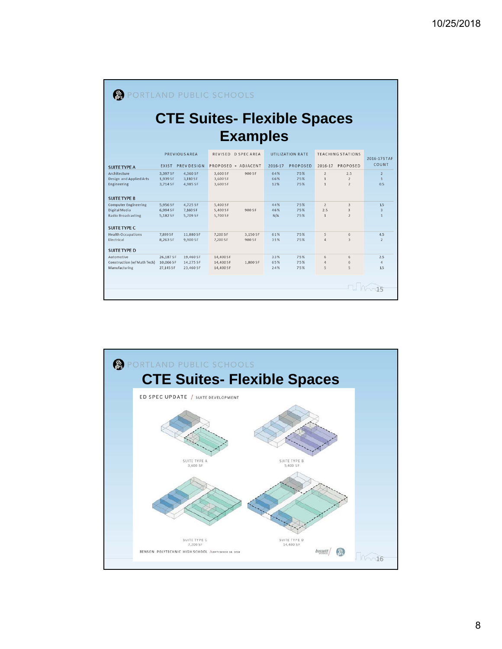| PORTLAND PUBLIC SCHOOLS                                                                           |                                  |                                  |                                  |                     |                   |                   |                                                |                                         |                                         |
|---------------------------------------------------------------------------------------------------|----------------------------------|----------------------------------|----------------------------------|---------------------|-------------------|-------------------|------------------------------------------------|-----------------------------------------|-----------------------------------------|
|                                                                                                   |                                  |                                  |                                  |                     |                   |                   |                                                |                                         |                                         |
| <b>CTE Suites- Flexible Spaces</b>                                                                |                                  |                                  |                                  |                     |                   |                   |                                                |                                         |                                         |
| <b>Examples</b>                                                                                   |                                  |                                  |                                  |                     |                   |                   |                                                |                                         |                                         |
| REVISED D SPECAREA<br><b>UTILIZATION RATE</b><br><b>TEACHING STATIONS</b><br><b>PREVIOUS AREA</b> |                                  |                                  |                                  |                     |                   |                   |                                                |                                         |                                         |
| <b>SUITE TYPE A</b>                                                                               |                                  | EXIST PREV DESIGN                |                                  | PROPOSED + ADJACENT | 2016-17           | <b>PROPOSED</b>   | 2016-17                                        | PROPOSED                                | 2016-17STAF<br>COUNT                    |
| Architecture<br>Design and Applied Arts<br>Engineering                                            | 3,397 SF<br>1.939 SF<br>3.714 SF | 4,360 SF<br>3.110 SF<br>4.985 SF | 3,600 SF<br>3,600 SF<br>3,600 SF | 900 SF              | 64%<br>66%<br>12% | 75%<br>75%<br>75% | $\overline{2}$<br>$\mathbf{1}$<br>$\mathbf{1}$ | 2.5<br>$\overline{2}$<br>$\overline{2}$ | $\overline{2}$<br>$\mathbf{1}$<br>0.5   |
| <b>SUITE TYPE B</b><br><b>Computer Engineering</b>                                                |                                  | 4,725 SF                         |                                  |                     |                   | 75%               | $\overline{2}$                                 |                                         |                                         |
| Digital Media<br><b>Radio Broadcasting</b>                                                        | 5.956 SF<br>6,994 SF<br>5.182 SF | 7,160 SF<br>5.709 SF             | 5,400 SF<br>5,400 SF<br>5,700 SF | 900 SF              | 44%<br>46%<br>N/A | 75%<br>75%        | 2.5<br>$\mathbf{1}$                            | 3<br>3<br>$\overline{\phantom{a}}$      | 1.5<br>$\overline{3}$<br>$\overline{1}$ |
| <b>SUITE TYPE C</b>                                                                               |                                  |                                  |                                  |                     |                   |                   |                                                |                                         |                                         |
| <b>Health Occupations</b><br>Electrical                                                           | 7,899 SF<br>8,263 SF             | 11.880 SF<br>9,900 SF            | 7,200 SF<br>7,200 SF             | 3,150 SF<br>900 SF  | 61%<br>31%        | 75%<br>75%        | 5<br>$\Delta$                                  | 6<br>$\overline{a}$                     | 4.5<br>$\overline{2}$                   |
| <b>SUITE TYPE D</b>                                                                               |                                  |                                  |                                  |                     |                   |                   |                                                |                                         |                                         |
| Automotive<br>Construction (w/Math Tech)                                                          | 26,187 SF<br>10,066 SF           | 19,460 SF<br>14,275 SF           | 14,400 SF<br>14,400 SF           | 1,800 SF            | 33%<br>65%        | 75%<br>75%        | 6<br>$\Delta$                                  | 6<br>6                                  | 2.5<br>$\varDelta$                      |
| Manufacturing                                                                                     | 27,145 SF                        | 23,460 SF                        | 14,400 SF                        |                     | 24%               | 75%               | 5                                              | 5                                       | 1.5                                     |
|                                                                                                   |                                  |                                  |                                  |                     |                   |                   |                                                |                                         | $\Box$ Mort5                            |

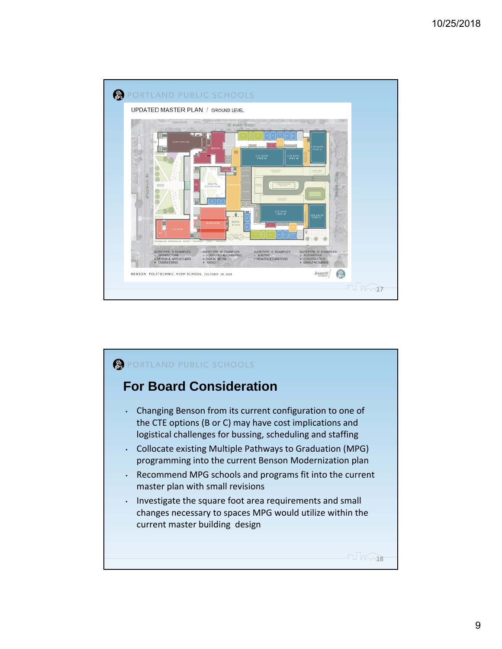

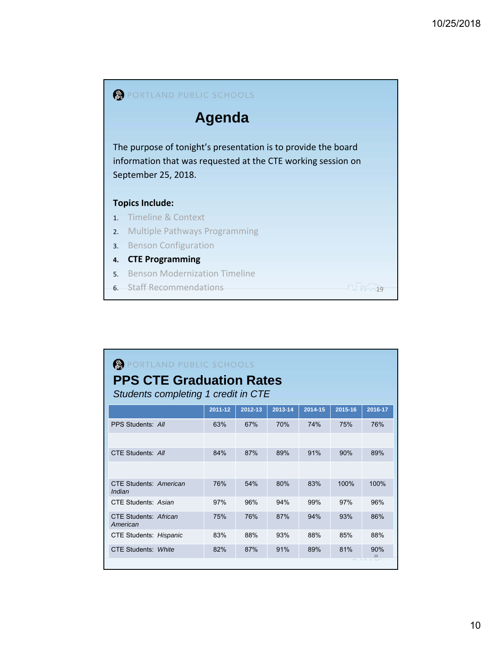

| PORTLAND PUBLIC SCHOOLS<br><b>PPS CTE Graduation Rates</b><br>Students completing 1 credit in CTE |         |         |         |         |         |           |  |  |
|---------------------------------------------------------------------------------------------------|---------|---------|---------|---------|---------|-----------|--|--|
|                                                                                                   | 2011-12 | 2012-13 | 2013-14 | 2014-15 | 2015-16 | 2016-17   |  |  |
| PPS Students: All                                                                                 | 63%     | 67%     | 70%     | 74%     | 75%     | 76%       |  |  |
|                                                                                                   |         |         |         |         |         |           |  |  |
| CTE Students: All                                                                                 | 84%     | 87%     | 89%     | 91%     | 90%     | 89%       |  |  |
|                                                                                                   |         |         |         |         |         |           |  |  |
| CTF Students: American<br>Indian                                                                  | 76%     | 54%     | 80%     | 83%     | 100%    | 100%      |  |  |
| CTE Students: Asian                                                                               | 97%     | 96%     | 94%     | 99%     | 97%     | 96%       |  |  |
| CTF Students: African<br>American                                                                 | 75%     | 76%     | 87%     | 94%     | 93%     | 86%       |  |  |
| CTE Students: Hispanic                                                                            | 83%     | 88%     | 93%     | 88%     | 85%     | 88%       |  |  |
| CTE Students: White                                                                               | 82%     | 87%     | 91%     | 89%     | 81%     | 90%<br>20 |  |  |
|                                                                                                   |         |         |         |         |         |           |  |  |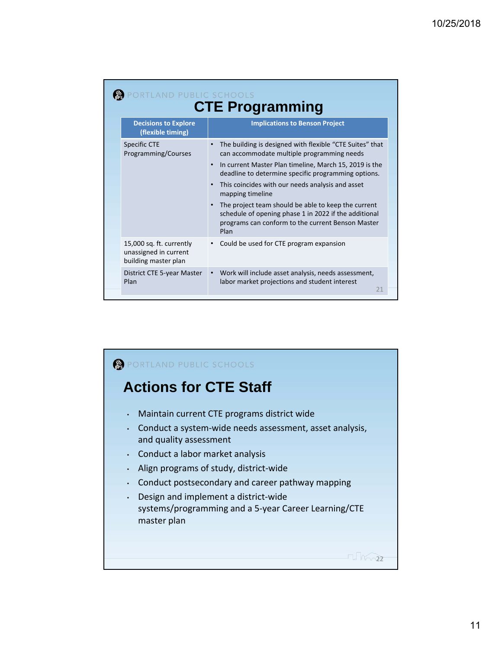|  | RTLAND PUBLIC SCHOOLS<br><b>CTE Programming</b>                           |                                                                                                                                                                                        |  |  |  |  |  |  |  |
|--|---------------------------------------------------------------------------|----------------------------------------------------------------------------------------------------------------------------------------------------------------------------------------|--|--|--|--|--|--|--|
|  | <b>Decisions to Explore</b><br>(flexible timing)                          | <b>Implications to Benson Project</b>                                                                                                                                                  |  |  |  |  |  |  |  |
|  | Specific CTE<br>Programming/Courses                                       | The building is designed with flexible "CTE Suites" that<br>can accommodate multiple programming needs                                                                                 |  |  |  |  |  |  |  |
|  |                                                                           | In current Master Plan timeline, March 15, 2019 is the<br>$\bullet$<br>deadline to determine specific programming options.                                                             |  |  |  |  |  |  |  |
|  |                                                                           | This coincides with our needs analysis and asset<br>mapping timeline                                                                                                                   |  |  |  |  |  |  |  |
|  |                                                                           | The project team should be able to keep the current<br>$\bullet$<br>schedule of opening phase 1 in 2022 if the additional<br>programs can conform to the current Benson Master<br>Plan |  |  |  |  |  |  |  |
|  | 15,000 sq. ft. currently<br>unassigned in current<br>building master plan | Could be used for CTE program expansion                                                                                                                                                |  |  |  |  |  |  |  |
|  | District CTE 5-year Master<br>Plan                                        | Work will include asset analysis, needs assessment,<br>$\bullet$<br>labor market projections and student interest<br>21                                                                |  |  |  |  |  |  |  |

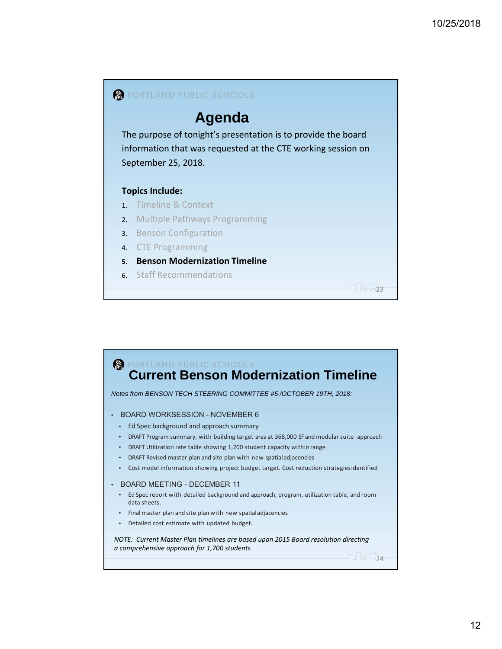

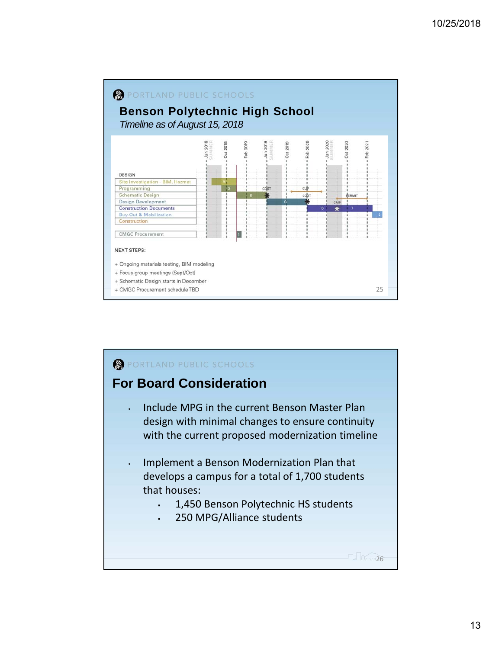